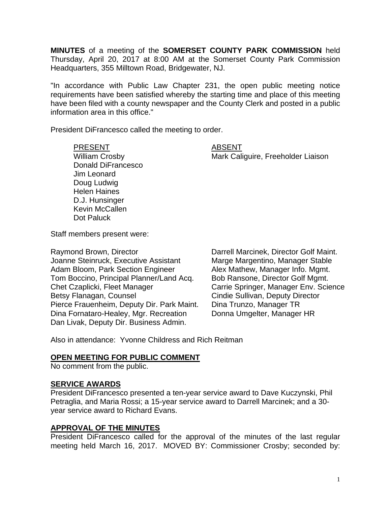**MINUTES** of a meeting of the **SOMERSET COUNTY PARK COMMISSION** held Thursday, April 20, 2017 at 8:00 AM at the Somerset County Park Commission Headquarters, 355 Milltown Road, Bridgewater, NJ.

"In accordance with Public Law Chapter 231, the open public meeting notice requirements have been satisfied whereby the starting time and place of this meeting have been filed with a county newspaper and the County Clerk and posted in a public information area in this office."

President DiFrancesco called the meeting to order.

### PRESENT ABSENT

William Crosby **Mark Caliguire, Freeholder Liaison** 

Donald DiFrancesco Jim Leonard Doug Ludwig Helen Haines D.J. Hunsinger Kevin McCallen Dot Paluck

Staff members present were:

Raymond Brown, Director **Darrell Marcinek, Director Golf Maint.** Joanne Steinruck, Executive Assistant Marge Margentino, Manager Stable Adam Bloom, Park Section Engineer Alex Mathew, Manager Info. Mgmt.<br>Tom Boccino, Principal Planner/Land Acq. Bob Ransone, Director Golf Mgmt. Tom Boccino, Principal Planner/Land Acq.<br>Chet Czaplicki, Fleet Manager Betsy Flanagan, Counsel **Counsel Cindie Sullivan, Deputy Director** Pierce Frauenheim, Deputy Dir. Park Maint. Dina Trunzo, Manager TR<br>Dina Fornataro-Healey, Mgr. Recreation Donna Umgelter, Manager HR Dina Fornataro-Healey, Mgr. Recreation Dan Livak, Deputy Dir. Business Admin.

Carrie Springer, Manager Env. Science

Also in attendance: Yvonne Childress and Rich Reitman

### **OPEN MEETING FOR PUBLIC COMMENT**

No comment from the public.

### **SERVICE AWARDS**

President DiFrancesco presented a ten-year service award to Dave Kuczynski, Phil Petraglia, and Maria Rossi; a 15-year service award to Darrell Marcinek; and a 30 year service award to Richard Evans.

### **APPROVAL OF THE MINUTES**

President DiFrancesco called for the approval of the minutes of the last regular meeting held March 16, 2017. MOVED BY: Commissioner Crosby; seconded by: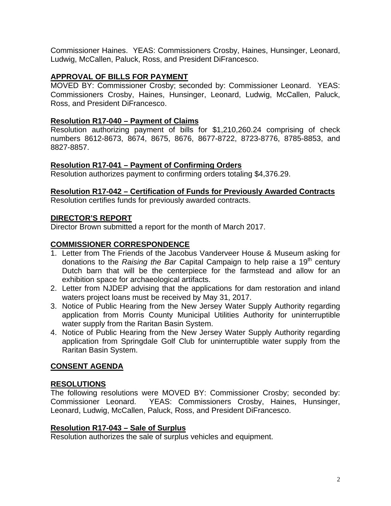Commissioner Haines. YEAS: Commissioners Crosby, Haines, Hunsinger, Leonard, Ludwig, McCallen, Paluck, Ross, and President DiFrancesco.

# **APPROVAL OF BILLS FOR PAYMENT**

MOVED BY: Commissioner Crosby; seconded by: Commissioner Leonard. YEAS: Commissioners Crosby, Haines, Hunsinger, Leonard, Ludwig, McCallen, Paluck, Ross, and President DiFrancesco.

# **Resolution R17-040 – Payment of Claims**

Resolution authorizing payment of bills for \$1,210,260.24 comprising of check numbers 8612-8673, 8674, 8675, 8676, 8677-8722, 8723-8776, 8785-8853, and 8827-8857.

# **Resolution R17-041 – Payment of Confirming Orders**

Resolution authorizes payment to confirming orders totaling \$4,376.29.

### **Resolution R17-042 – Certification of Funds for Previously Awarded Contracts**

Resolution certifies funds for previously awarded contracts.

### **DIRECTOR'S REPORT**

Director Brown submitted a report for the month of March 2017.

# **COMMISSIONER CORRESPONDENCE**

- 1. Letter from The Friends of the Jacobus Vanderveer House & Museum asking for donations to the *Raising the Bar* Capital Campaign to help raise a 19<sup>th</sup> century Dutch barn that will be the centerpiece for the farmstead and allow for an exhibition space for archaeological artifacts.
- 2. Letter from NJDEP advising that the applications for dam restoration and inland waters project loans must be received by May 31, 2017.
- 3. Notice of Public Hearing from the New Jersey Water Supply Authority regarding application from Morris County Municipal Utilities Authority for uninterruptible water supply from the Raritan Basin System.
- 4. Notice of Public Hearing from the New Jersey Water Supply Authority regarding application from Springdale Golf Club for uninterruptible water supply from the Raritan Basin System.

# **CONSENT AGENDA**

### **RESOLUTIONS**

The following resolutions were MOVED BY: Commissioner Crosby; seconded by: Commissioner Leonard. YEAS: Commissioners Crosby, Haines, Hunsinger, Leonard, Ludwig, McCallen, Paluck, Ross, and President DiFrancesco.

### **Resolution R17-043 – Sale of Surplus**

Resolution authorizes the sale of surplus vehicles and equipment.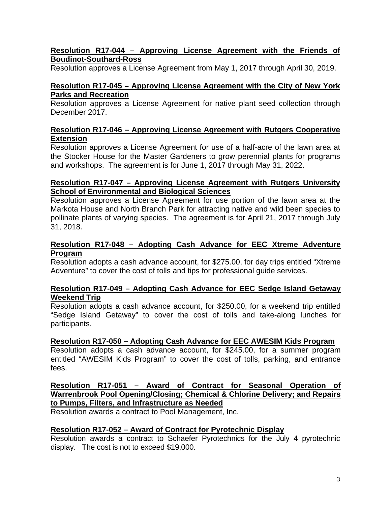# **Resolution R17-044 – Approving License Agreement with the Friends of Boudinot-Southard-Ross**

Resolution approves a License Agreement from May 1, 2017 through April 30, 2019.

# **Resolution R17-045 – Approving License Agreement with the City of New York Parks and Recreation**

Resolution approves a License Agreement for native plant seed collection through December 2017.

# **Resolution R17-046 – Approving License Agreement with Rutgers Cooperative Extension**

Resolution approves a License Agreement for use of a half-acre of the lawn area at the Stocker House for the Master Gardeners to grow perennial plants for programs and workshops. The agreement is for June 1, 2017 through May 31, 2022.

# **Resolution R17-047 – Approving License Agreement with Rutgers University School of Environmental and Biological Sciences**

Resolution approves a License Agreement for use portion of the lawn area at the Markota House and North Branch Park for attracting native and wild been species to pollinate plants of varying species. The agreement is for April 21, 2017 through July 31, 2018.

# **Resolution R17-048 – Adopting Cash Advance for EEC Xtreme Adventure Program**

Resolution adopts a cash advance account, for \$275.00, for day trips entitled "Xtreme Adventure" to cover the cost of tolls and tips for professional guide services.

### **Resolution R17-049 – Adopting Cash Advance for EEC Sedge Island Getaway Weekend Trip**

Resolution adopts a cash advance account, for \$250.00, for a weekend trip entitled "Sedge Island Getaway" to cover the cost of tolls and take-along lunches for participants.

# **Resolution R17-050 – Adopting Cash Advance for EEC AWESIM Kids Program**

Resolution adopts a cash advance account, for \$245.00, for a summer program entitled "AWESIM Kids Program" to cover the cost of tolls, parking, and entrance fees.

# **Resolution R17-051 – Award of Contract for Seasonal Operation of Warrenbrook Pool Opening/Closing; Chemical & Chlorine Delivery; and Repairs to Pumps, Filters, and Infrastructure as Needed**

Resolution awards a contract to Pool Management, Inc.

# **Resolution R17-052 – Award of Contract for Pyrotechnic Display**

Resolution awards a contract to Schaefer Pyrotechnics for the July 4 pyrotechnic display. The cost is not to exceed \$19,000.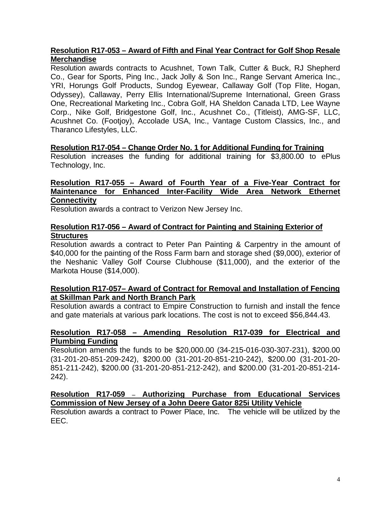# **Resolution R17-053 – Award of Fifth and Final Year Contract for Golf Shop Resale Merchandise**

Resolution awards contracts to Acushnet, Town Talk, Cutter & Buck, RJ Shepherd Co., Gear for Sports, Ping Inc., Jack Jolly & Son Inc., Range Servant America Inc., YRI, Horungs Golf Products, Sundog Eyewear, Callaway Golf (Top Flite, Hogan, Odyssey), Callaway, Perry Ellis International/Supreme International, Green Grass One, Recreational Marketing Inc., Cobra Golf, HA Sheldon Canada LTD, Lee Wayne Corp., Nike Golf, Bridgestone Golf, Inc., Acushnet Co., (Titleist), AMG-SF, LLC, Acushnet Co. (Footjoy), Accolade USA, Inc., Vantage Custom Classics, Inc., and Tharanco Lifestyles, LLC.

### **Resolution R17-054 – Change Order No. 1 for Additional Funding for Training**

Resolution increases the funding for additional training for \$3,800.00 to ePlus Technology, Inc.

# **Resolution R17-055 – Award of Fourth Year of a Five-Year Contract for Maintenance for Enhanced Inter-Facility Wide Area Network Ethernet Connectivity**

Resolution awards a contract to Verizon New Jersey Inc.

### **Resolution R17-056 – Award of Contract for Painting and Staining Exterior of Structures**

Resolution awards a contract to Peter Pan Painting & Carpentry in the amount of \$40,000 for the painting of the Ross Farm barn and storage shed (\$9,000), exterior of the Neshanic Valley Golf Course Clubhouse (\$11,000), and the exterior of the Markota House (\$14,000).

# **Resolution R17-057– Award of Contract for Removal and Installation of Fencing at Skillman Park and North Branch Park**

Resolution awards a contract to Empire Construction to furnish and install the fence and gate materials at various park locations. The cost is not to exceed \$56,844.43.

### **Resolution R17-058 – Amending Resolution R17-039 for Electrical and Plumbing Funding**

Resolution amends the funds to be \$20,000.00 (34-215-016-030-307-231), \$200.00 (31-201-20-851-209-242), \$200.00 (31-201-20-851-210-242), \$200.00 (31-201-20- 851-211-242), \$200.00 (31-201-20-851-212-242), and \$200.00 (31-201-20-851-214- 242).

# **Resolution R17-059 – Authorizing Purchase from Educational Services Commission of New Jersey of a John Deere Gator 825i Utility Vehicle**

Resolution awards a contract to Power Place, Inc. The vehicle will be utilized by the EEC.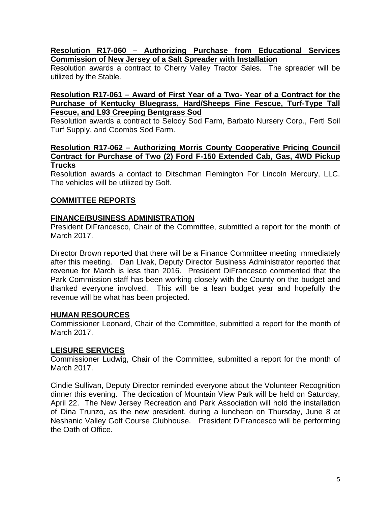## **Resolution R17-060 – Authorizing Purchase from Educational Services Commission of New Jersey of a Salt Spreader with Installation**

Resolution awards a contract to Cherry Valley Tractor Sales. The spreader will be utilized by the Stable.

#### **Resolution R17-061 – Award of First Year of a Two- Year of a Contract for the Purchase of Kentucky Bluegrass, Hard/Sheeps Fine Fescue, Turf-Type Tall Fescue, and L93 Creeping Bentgrass Sod**

Resolution awards a contract to Selody Sod Farm, Barbato Nursery Corp., Fertl Soil Turf Supply, and Coombs Sod Farm.

#### **Resolution R17-062 – Authorizing Morris County Cooperative Pricing Council Contract for Purchase of Two (2) Ford F-150 Extended Cab, Gas, 4WD Pickup Trucks**

Resolution awards a contact to Ditschman Flemington For Lincoln Mercury, LLC. The vehicles will be utilized by Golf.

# **COMMITTEE REPORTS**

# **FINANCE/BUSINESS ADMINISTRATION**

President DiFrancesco, Chair of the Committee, submitted a report for the month of March 2017.

Director Brown reported that there will be a Finance Committee meeting immediately after this meeting. Dan Livak, Deputy Director Business Administrator reported that revenue for March is less than 2016. President DiFrancesco commented that the Park Commission staff has been working closely with the County on the budget and thanked everyone involved. This will be a lean budget year and hopefully the revenue will be what has been projected.

### **HUMAN RESOURCES**

Commissioner Leonard, Chair of the Committee, submitted a report for the month of March 2017.

### **LEISURE SERVICES**

Commissioner Ludwig, Chair of the Committee, submitted a report for the month of March 2017.

Cindie Sullivan, Deputy Director reminded everyone about the Volunteer Recognition dinner this evening. The dedication of Mountain View Park will be held on Saturday, April 22. The New Jersey Recreation and Park Association will hold the installation of Dina Trunzo, as the new president, during a luncheon on Thursday, June 8 at Neshanic Valley Golf Course Clubhouse. President DiFrancesco will be performing the Oath of Office.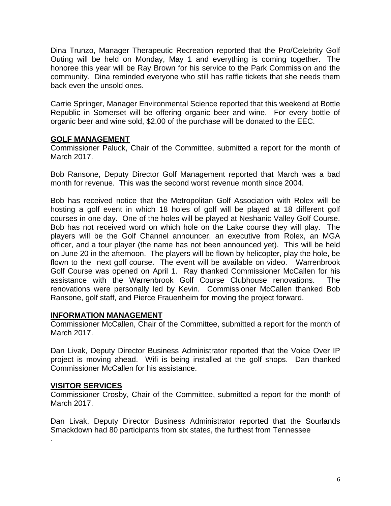Dina Trunzo, Manager Therapeutic Recreation reported that the Pro/Celebrity Golf Outing will be held on Monday, May 1 and everything is coming together. The honoree this year will be Ray Brown for his service to the Park Commission and the community. Dina reminded everyone who still has raffle tickets that she needs them back even the unsold ones.

Carrie Springer, Manager Environmental Science reported that this weekend at Bottle Republic in Somerset will be offering organic beer and wine. For every bottle of organic beer and wine sold, \$2.00 of the purchase will be donated to the EEC.

### **GOLF MANAGEMENT**

Commissioner Paluck, Chair of the Committee, submitted a report for the month of March 2017.

Bob Ransone, Deputy Director Golf Management reported that March was a bad month for revenue. This was the second worst revenue month since 2004.

Bob has received notice that the Metropolitan Golf Association with Rolex will be hosting a golf event in which 18 holes of golf will be played at 18 different golf courses in one day. One of the holes will be played at Neshanic Valley Golf Course. Bob has not received word on which hole on the Lake course they will play. The players will be the Golf Channel announcer, an executive from Rolex, an MGA officer, and a tour player (the name has not been announced yet). This will be held on June 20 in the afternoon. The players will be flown by helicopter, play the hole, be flown to the next golf course. The event will be available on video. Warrenbrook Golf Course was opened on April 1. Ray thanked Commissioner McCallen for his assistance with the Warrenbrook Golf Course Clubhouse renovations. The renovations were personally led by Kevin. Commissioner McCallen thanked Bob Ransone, golf staff, and Pierce Frauenheim for moving the project forward.

### **INFORMATION MANAGEMENT**

Commissioner McCallen, Chair of the Committee, submitted a report for the month of March 2017.

Dan Livak, Deputy Director Business Administrator reported that the Voice Over IP project is moving ahead. Wifi is being installed at the golf shops. Dan thanked Commissioner McCallen for his assistance.

# **VISITOR SERVICES**

.

Commissioner Crosby, Chair of the Committee, submitted a report for the month of March 2017.

Dan Livak, Deputy Director Business Administrator reported that the Sourlands Smackdown had 80 participants from six states, the furthest from Tennessee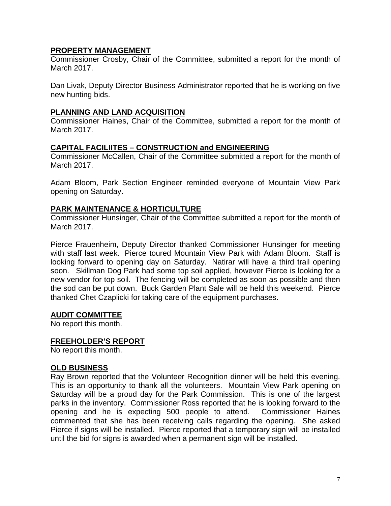# **PROPERTY MANAGEMENT**

Commissioner Crosby, Chair of the Committee, submitted a report for the month of March 2017.

Dan Livak, Deputy Director Business Administrator reported that he is working on five new hunting bids.

# **PLANNING AND LAND ACQUISITION**

Commissioner Haines, Chair of the Committee, submitted a report for the month of March 2017.

# **CAPITAL FACILIITES – CONSTRUCTION and ENGINEERING**

Commissioner McCallen, Chair of the Committee submitted a report for the month of March 2017.

Adam Bloom, Park Section Engineer reminded everyone of Mountain View Park opening on Saturday.

# **PARK MAINTENANCE & HORTICULTURE**

Commissioner Hunsinger, Chair of the Committee submitted a report for the month of March 2017.

Pierce Frauenheim, Deputy Director thanked Commissioner Hunsinger for meeting with staff last week. Pierce toured Mountain View Park with Adam Bloom. Staff is looking forward to opening day on Saturday. Natirar will have a third trail opening soon. Skillman Dog Park had some top soil applied, however Pierce is looking for a new vendor for top soil. The fencing will be completed as soon as possible and then the sod can be put down. Buck Garden Plant Sale will be held this weekend. Pierce thanked Chet Czaplicki for taking care of the equipment purchases.

### **AUDIT COMMITTEE**

No report this month.

### **FREEHOLDER'S REPORT**

No report this month.

### **OLD BUSINESS**

Ray Brown reported that the Volunteer Recognition dinner will be held this evening. This is an opportunity to thank all the volunteers. Mountain View Park opening on Saturday will be a proud day for the Park Commission. This is one of the largest parks in the inventory. Commissioner Ross reported that he is looking forward to the opening and he is expecting 500 people to attend. Commissioner Haines commented that she has been receiving calls regarding the opening. She asked Pierce if signs will be installed. Pierce reported that a temporary sign will be installed until the bid for signs is awarded when a permanent sign will be installed.